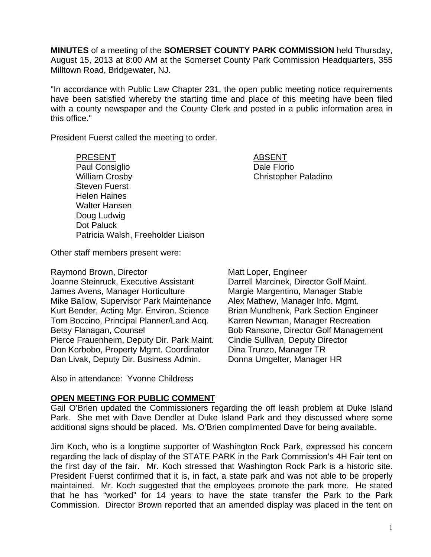**MINUTES** of a meeting of the **SOMERSET COUNTY PARK COMMISSION** held Thursday, August 15, 2013 at 8:00 AM at the Somerset County Park Commission Headquarters, 355 Milltown Road, Bridgewater, NJ.

"In accordance with Public Law Chapter 231, the open public meeting notice requirements have been satisfied whereby the starting time and place of this meeting have been filed with a county newspaper and the County Clerk and posted in a public information area in this office."

President Fuerst called the meeting to order.

PRESENT ABSENT Paul Consiglio **Dale Florio** Dale Florio William Crosby **Christopher Paladino** Steven Fuerst Helen Haines Walter Hansen Doug Ludwig Dot Paluck Patricia Walsh, Freeholder Liaison

Other staff members present were:

Raymond Brown, Director Matt Loper, Engineer

Joanne Steinruck, Executive Assistant Darrell Marcinek, Director Golf Maint. James Avens, Manager Horticulture Margie Margentino, Manager Stable Mike Ballow, Supervisor Park Maintenance Alex Mathew, Manager Info. Mgmt. Kurt Bender, Acting Mgr. Environ. Science Brian Mundhenk, Park Section Engineer Tom Boccino, Principal Planner/Land Acq. Karren Newman, Manager Recreation Betsy Flanagan, Counsel **Bob Ransone, Director Golf Management** Pierce Frauenheim, Deputy Dir. Park Maint. Cindie Sullivan, Deputy Director Don Korbobo, Property Mgmt. Coordinator Dina Trunzo, Manager TR Dan Livak, Deputy Dir. Business Admin. Donna Umgelter, Manager HR

Also in attendance: Yvonne Childress

### **OPEN MEETING FOR PUBLIC COMMENT**

Gail O'Brien updated the Commissioners regarding the off leash problem at Duke Island Park. She met with Dave Dendler at Duke Island Park and they discussed where some additional signs should be placed. Ms. O'Brien complimented Dave for being available.

Jim Koch, who is a longtime supporter of Washington Rock Park, expressed his concern regarding the lack of display of the STATE PARK in the Park Commission's 4H Fair tent on the first day of the fair. Mr. Koch stressed that Washington Rock Park is a historic site. President Fuerst confirmed that it is, in fact, a state park and was not able to be properly maintained. Mr. Koch suggested that the employees promote the park more. He stated that he has "worked" for 14 years to have the state transfer the Park to the Park Commission. Director Brown reported that an amended display was placed in the tent on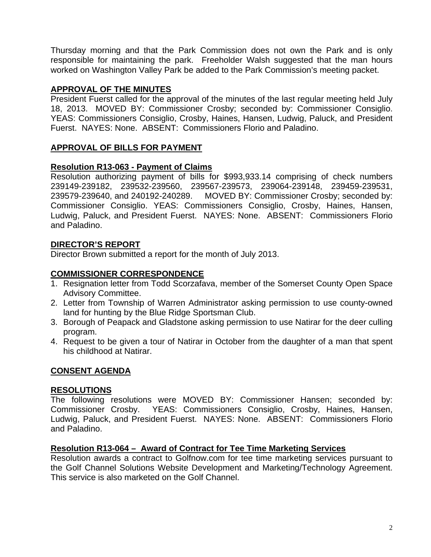Thursday morning and that the Park Commission does not own the Park and is only responsible for maintaining the park. Freeholder Walsh suggested that the man hours worked on Washington Valley Park be added to the Park Commission's meeting packet.

# **APPROVAL OF THE MINUTES**

President Fuerst called for the approval of the minutes of the last regular meeting held July 18, 2013. MOVED BY: Commissioner Crosby; seconded by: Commissioner Consiglio. YEAS: Commissioners Consiglio, Crosby, Haines, Hansen, Ludwig, Paluck, and President Fuerst. NAYES: None. ABSENT: Commissioners Florio and Paladino.

# **APPROVAL OF BILLS FOR PAYMENT**

# **Resolution R13-063 - Payment of Claims**

Resolution authorizing payment of bills for \$993,933.14 comprising of check numbers 239149-239182, 239532-239560, 239567-239573, 239064-239148, 239459-239531, 239579-239640, and 240192-240289. MOVED BY: Commissioner Crosby; seconded by: Commissioner Consiglio. YEAS: Commissioners Consiglio, Crosby, Haines, Hansen, Ludwig, Paluck, and President Fuerst. NAYES: None. ABSENT: Commissioners Florio and Paladino.

## **DIRECTOR'S REPORT**

Director Brown submitted a report for the month of July 2013.

## **COMMISSIONER CORRESPONDENCE**

- 1. Resignation letter from Todd Scorzafava, member of the Somerset County Open Space Advisory Committee.
- 2. Letter from Township of Warren Administrator asking permission to use county-owned land for hunting by the Blue Ridge Sportsman Club.
- 3. Borough of Peapack and Gladstone asking permission to use Natirar for the deer culling program.
- 4. Request to be given a tour of Natirar in October from the daughter of a man that spent his childhood at Natirar.

# **CONSENT AGENDA**

### **RESOLUTIONS**

The following resolutions were MOVED BY: Commissioner Hansen; seconded by: Commissioner Crosby. YEAS: Commissioners Consiglio, Crosby, Haines, Hansen, Ludwig, Paluck, and President Fuerst. NAYES: None. ABSENT: Commissioners Florio and Paladino.

### **Resolution R13-064 – Award of Contract for Tee Time Marketing Services**

Resolution awards a contract to Golfnow.com for tee time marketing services pursuant to the Golf Channel Solutions Website Development and Marketing/Technology Agreement. This service is also marketed on the Golf Channel.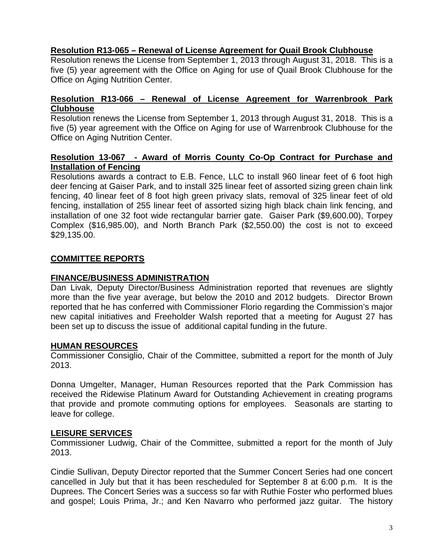## **Resolution R13-065 – Renewal of License Agreement for Quail Brook Clubhouse**

Resolution renews the License from September 1, 2013 through August 31, 2018. This is a five (5) year agreement with the Office on Aging for use of Quail Brook Clubhouse for the Office on Aging Nutrition Center.

#### **Resolution R13-066 – Renewal of License Agreement for Warrenbrook Park Clubhouse**

Resolution renews the License from September 1, 2013 through August 31, 2018. This is a five (5) year agreement with the Office on Aging for use of Warrenbrook Clubhouse for the Office on Aging Nutrition Center.

### **Resolution 13-067 - Award of Morris County Co-Op Contract for Purchase and Installation of Fencing**

Resolutions awards a contract to E.B. Fence, LLC to install 960 linear feet of 6 foot high deer fencing at Gaiser Park, and to install 325 linear feet of assorted sizing green chain link fencing, 40 linear feet of 8 foot high green privacy slats, removal of 325 linear feet of old fencing, installation of 255 linear feet of assorted sizing high black chain link fencing, and installation of one 32 foot wide rectangular barrier gate. Gaiser Park (\$9,600.00), Torpey Complex (\$16,985.00), and North Branch Park (\$2,550.00) the cost is not to exceed \$29,135.00.

## **COMMITTEE REPORTS**

### **FINANCE/BUSINESS ADMINISTRATION**

Dan Livak, Deputy Director/Business Administration reported that revenues are slightly more than the five year average, but below the 2010 and 2012 budgets. Director Brown reported that he has conferred with Commissioner Florio regarding the Commission's major new capital initiatives and Freeholder Walsh reported that a meeting for August 27 has been set up to discuss the issue of additional capital funding in the future.

### **HUMAN RESOURCES**

Commissioner Consiglio, Chair of the Committee, submitted a report for the month of July 2013.

Donna Umgelter, Manager, Human Resources reported that the Park Commission has received the Ridewise Platinum Award for Outstanding Achievement in creating programs that provide and promote commuting options for employees. Seasonals are starting to leave for college.

### **LEISURE SERVICES**

Commissioner Ludwig, Chair of the Committee, submitted a report for the month of July 2013.

Cindie Sullivan, Deputy Director reported that the Summer Concert Series had one concert cancelled in July but that it has been rescheduled for September 8 at 6:00 p.m. It is the Duprees. The Concert Series was a success so far with Ruthie Foster who performed blues and gospel; Louis Prima, Jr.; and Ken Navarro who performed jazz guitar. The history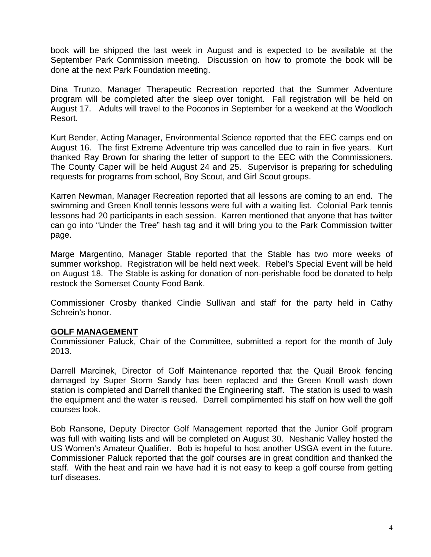book will be shipped the last week in August and is expected to be available at the September Park Commission meeting. Discussion on how to promote the book will be done at the next Park Foundation meeting.

Dina Trunzo, Manager Therapeutic Recreation reported that the Summer Adventure program will be completed after the sleep over tonight. Fall registration will be held on August 17. Adults will travel to the Poconos in September for a weekend at the Woodloch Resort.

Kurt Bender, Acting Manager, Environmental Science reported that the EEC camps end on August 16. The first Extreme Adventure trip was cancelled due to rain in five years. Kurt thanked Ray Brown for sharing the letter of support to the EEC with the Commissioners. The County Caper will be held August 24 and 25. Supervisor is preparing for scheduling requests for programs from school, Boy Scout, and Girl Scout groups.

Karren Newman, Manager Recreation reported that all lessons are coming to an end. The swimming and Green Knoll tennis lessons were full with a waiting list. Colonial Park tennis lessons had 20 participants in each session. Karren mentioned that anyone that has twitter can go into "Under the Tree" hash tag and it will bring you to the Park Commission twitter page.

Marge Margentino, Manager Stable reported that the Stable has two more weeks of summer workshop. Registration will be held next week. Rebel's Special Event will be held on August 18. The Stable is asking for donation of non-perishable food be donated to help restock the Somerset County Food Bank.

Commissioner Crosby thanked Cindie Sullivan and staff for the party held in Cathy Schrein's honor.

### **GOLF MANAGEMENT**

Commissioner Paluck, Chair of the Committee, submitted a report for the month of July 2013.

Darrell Marcinek, Director of Golf Maintenance reported that the Quail Brook fencing damaged by Super Storm Sandy has been replaced and the Green Knoll wash down station is completed and Darrell thanked the Engineering staff. The station is used to wash the equipment and the water is reused. Darrell complimented his staff on how well the golf courses look.

Bob Ransone, Deputy Director Golf Management reported that the Junior Golf program was full with waiting lists and will be completed on August 30. Neshanic Valley hosted the US Women's Amateur Qualifier. Bob is hopeful to host another USGA event in the future. Commissioner Paluck reported that the golf courses are in great condition and thanked the staff. With the heat and rain we have had it is not easy to keep a golf course from getting turf diseases.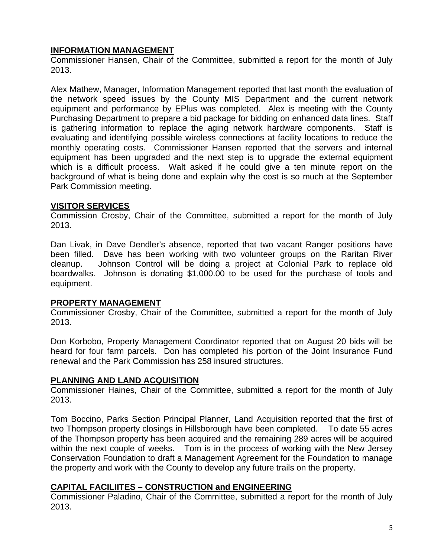# **INFORMATION MANAGEMENT**

Commissioner Hansen, Chair of the Committee, submitted a report for the month of July 2013.

Alex Mathew, Manager, Information Management reported that last month the evaluation of the network speed issues by the County MIS Department and the current network equipment and performance by EPlus was completed. Alex is meeting with the County Purchasing Department to prepare a bid package for bidding on enhanced data lines. Staff is gathering information to replace the aging network hardware components. Staff is evaluating and identifying possible wireless connections at facility locations to reduce the monthly operating costs. Commissioner Hansen reported that the servers and internal equipment has been upgraded and the next step is to upgrade the external equipment which is a difficult process. Walt asked if he could give a ten minute report on the background of what is being done and explain why the cost is so much at the September Park Commission meeting.

### **VISITOR SERVICES**

Commission Crosby, Chair of the Committee, submitted a report for the month of July 2013.

Dan Livak, in Dave Dendler's absence, reported that two vacant Ranger positions have been filled. Dave has been working with two volunteer groups on the Raritan River cleanup. Johnson Control will be doing a project at Colonial Park to replace old boardwalks. Johnson is donating \$1,000.00 to be used for the purchase of tools and equipment.

### **PROPERTY MANAGEMENT**

Commissioner Crosby, Chair of the Committee, submitted a report for the month of July 2013.

Don Korbobo, Property Management Coordinator reported that on August 20 bids will be heard for four farm parcels. Don has completed his portion of the Joint Insurance Fund renewal and the Park Commission has 258 insured structures.

# **PLANNING AND LAND ACQUISITION**

Commissioner Haines, Chair of the Committee, submitted a report for the month of July 2013.

Tom Boccino, Parks Section Principal Planner, Land Acquisition reported that the first of two Thompson property closings in Hillsborough have been completed. To date 55 acres of the Thompson property has been acquired and the remaining 289 acres will be acquired within the next couple of weeks. Tom is in the process of working with the New Jersey Conservation Foundation to draft a Management Agreement for the Foundation to manage the property and work with the County to develop any future trails on the property.

### **CAPITAL FACILIITES – CONSTRUCTION and ENGINEERING**

Commissioner Paladino, Chair of the Committee, submitted a report for the month of July 2013.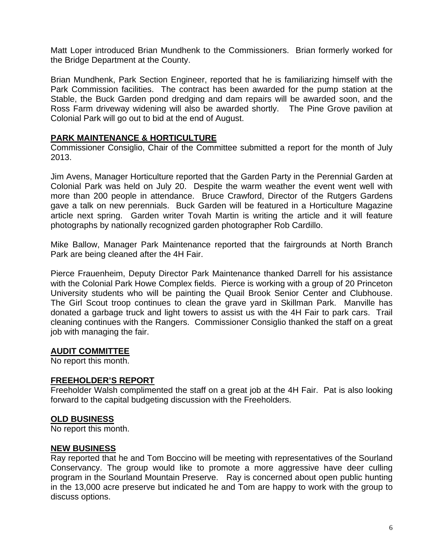Matt Loper introduced Brian Mundhenk to the Commissioners. Brian formerly worked for the Bridge Department at the County.

Brian Mundhenk, Park Section Engineer, reported that he is familiarizing himself with the Park Commission facilities. The contract has been awarded for the pump station at the Stable, the Buck Garden pond dredging and dam repairs will be awarded soon, and the Ross Farm driveway widening will also be awarded shortly. The Pine Grove pavilion at Colonial Park will go out to bid at the end of August.

#### **PARK MAINTENANCE & HORTICULTURE**

Commissioner Consiglio, Chair of the Committee submitted a report for the month of July 2013.

Jim Avens, Manager Horticulture reported that the Garden Party in the Perennial Garden at Colonial Park was held on July 20. Despite the warm weather the event went well with more than 200 people in attendance. Bruce Crawford, Director of the Rutgers Gardens gave a talk on new perennials. Buck Garden will be featured in a Horticulture Magazine article next spring. Garden writer Tovah Martin is writing the article and it will feature photographs by nationally recognized garden photographer Rob Cardillo.

Mike Ballow, Manager Park Maintenance reported that the fairgrounds at North Branch Park are being cleaned after the 4H Fair.

Pierce Frauenheim, Deputy Director Park Maintenance thanked Darrell for his assistance with the Colonial Park Howe Complex fields. Pierce is working with a group of 20 Princeton University students who will be painting the Quail Brook Senior Center and Clubhouse. The Girl Scout troop continues to clean the grave yard in Skillman Park. Manville has donated a garbage truck and light towers to assist us with the 4H Fair to park cars. Trail cleaning continues with the Rangers. Commissioner Consiglio thanked the staff on a great job with managing the fair.

### **AUDIT COMMITTEE**

No report this month.

#### **FREEHOLDER'S REPORT**

Freeholder Walsh complimented the staff on a great job at the 4H Fair. Pat is also looking forward to the capital budgeting discussion with the Freeholders.

### **OLD BUSINESS**

No report this month.

#### **NEW BUSINESS**

Ray reported that he and Tom Boccino will be meeting with representatives of the Sourland Conservancy. The group would like to promote a more aggressive have deer culling program in the Sourland Mountain Preserve. Ray is concerned about open public hunting in the 13,000 acre preserve but indicated he and Tom are happy to work with the group to discuss options.